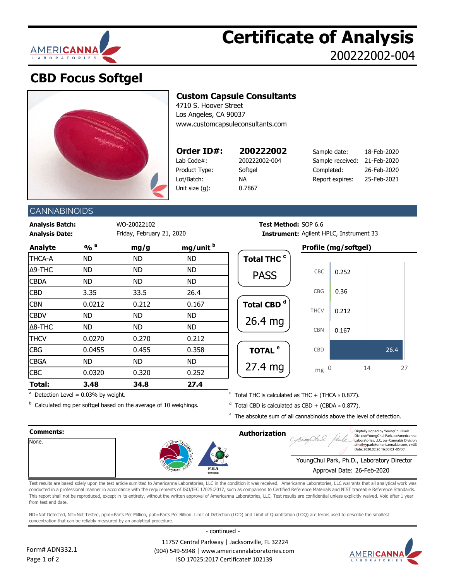

## **Certificate of Analysis** 200222002-004

## **CBD Focus Softgel**



### **Custom Capsule Consultants**

4710 S. Hoover Street Los Angeles, CA 90037 [www.customcapsuleconsultants.com](http://www.customcapsuleconsultants.com/)

| Order ID#      |
|----------------|
| Lab Code#:     |
| Product Type:  |
| Lot/Batch:     |
| Unit size (g): |
|                |

0.7867

| Order ID#:    | 200222002     | Sample date:                 | 18-Feb-2020 |
|---------------|---------------|------------------------------|-------------|
| Lab Code#:    | 200222002-004 | Sample received: 21-Feb-2020 |             |
| Product Type: | Softgel       | Completed:                   | 26-Feb-2020 |
| Lot/Batch:    | ΝA            | Report expires:              | 25-Feb-2021 |
|               |               |                              |             |

### **CANNABINOIDS**

**Analysis Batch:** WO-20022102 **Test Method:** SOP 6.6 **Analysis Date: Instrument:** Friday, February 21, 2020

| <b>Analyte</b> | $\frac{9}{6}$ <sup>a</sup> | mg/g      | mg/unit b |  |
|----------------|----------------------------|-----------|-----------|--|
| <b>THCA-A</b>  | <b>ND</b>                  | <b>ND</b> | <b>ND</b> |  |
| Δ9-THC         | <b>ND</b>                  | <b>ND</b> | <b>ND</b> |  |
| <b>CBDA</b>    | <b>ND</b>                  | <b>ND</b> | <b>ND</b> |  |
| <b>CBD</b>     | 3.35                       | 33.5      | 26.4      |  |
| <b>CBN</b>     | 0.0212                     | 0.212     | 0.167     |  |
| <b>CBDV</b>    | <b>ND</b>                  | <b>ND</b> | <b>ND</b> |  |
| $\Delta$ 8-THC | <b>ND</b>                  | <b>ND</b> | <b>ND</b> |  |
| <b>THCV</b>    | 0.0270                     | 0.270     | 0.212     |  |
| <b>CBG</b>     | 0.0455                     | 0.455     | 0.358     |  |
| <b>CBGA</b>    | <b>ND</b>                  | <b>ND</b> | <b>ND</b> |  |
| CBC            | 0.0320                     | 0.320     | 0.252     |  |
| Total:         | 3.48                       | 34.8      | 27.4      |  |

**Analyte % <sup>a</sup> mg/g mg/unit <sup>b</sup> Profile (mg/softgel)** Total THC <sup>c</sup> Total CBD<sup>d</sup> TOTAL <sup>e</sup> Instrument: Agilent HPLC, Instrument 33 PASS 26.4 mg 0.167 0.212 0.36 0.252 CBD CBN **THCV** CBG CBC

 $a$  Detection Level = 0.03% by weight.

<sup>b</sup> Calculated mg per softgel based on the average of 10 weighings.  $\overline{d}$ 

 $\textdegree$  Total THC is calculated as THC + (THCA  $\times$  0.877).

27.4 mg

- $d$  Total CBD is calculated as CBD + (CBDA  $\times$  0.877).
- $e$  The absolute sum of all cannabinoids above the level of detection.

 $mg<sub>0</sub>$ 



Test results are based solely upon the test article sumitted to Americanna Laboratories, LLC in the condition it was received. Americanna Laboratories, LLC warrants that all analytical work was conducted in a professional manner in accordance with the requirements of ISO/IEC 17025:2017, such as comparison to Certified Reference Materials and NIST traceable Reference Standards. This report shall not be reproduced, except in its entirety, without the written approval of Americanna Laboratories, LLC. Test results are confidential unless explicitly waived. Void after 1 year from test end date.

ND=Not Detected, NT=Not Tested, ppm=Parts Per Million, ppb=Parts Per Billion. Limit of Detection (LOD) and Limit of Quantitation (LOQ) are terms used to describe the smallest concentration that can be reliably measured by an analytical procedure.

- continued -



 11757 Central Parkway | Jacksonville, FL 32224 (904) 549-5948 | www.americannalaboratories.com ISO 17025:2017 Certificate# 102139



26.4

0 14 27